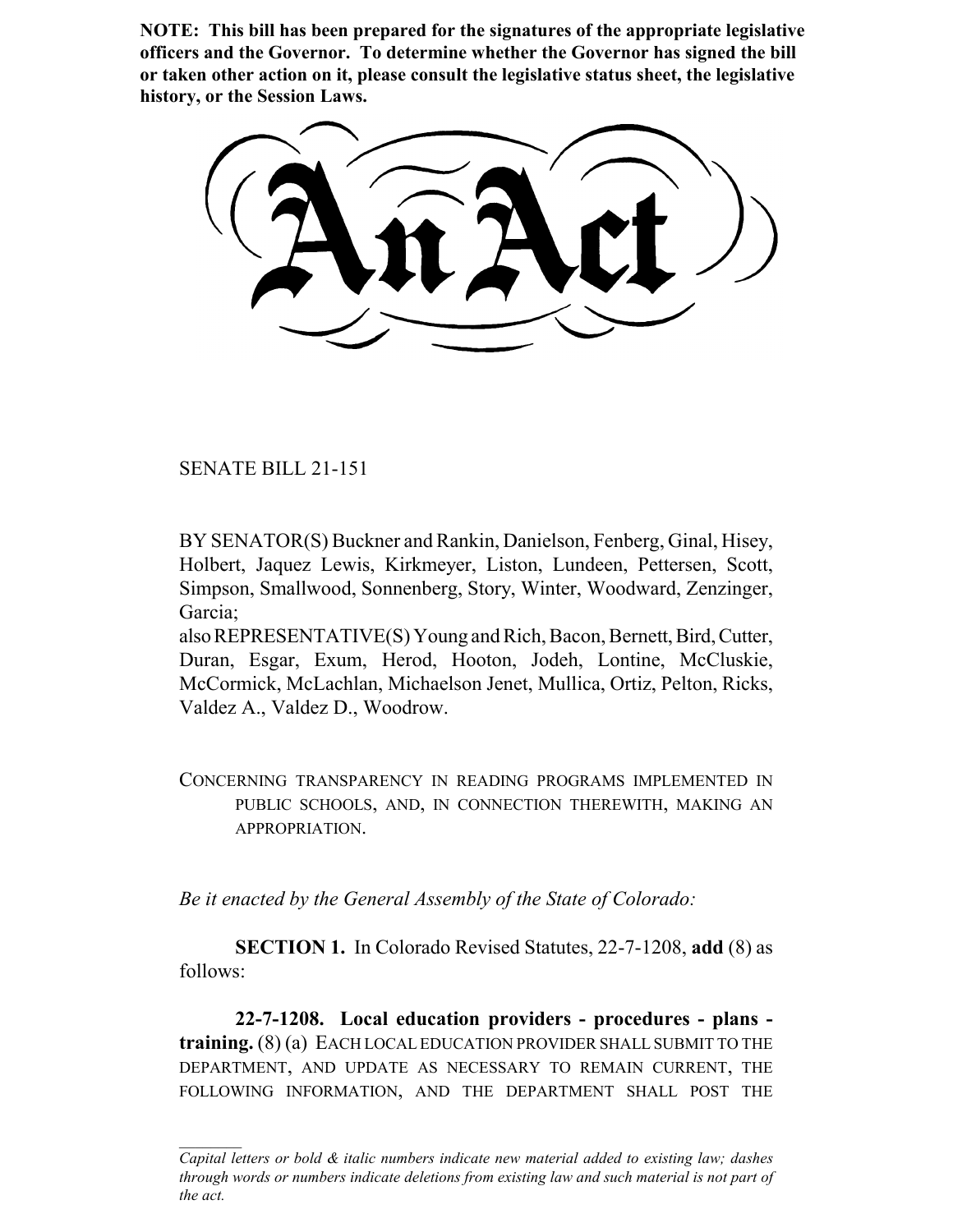**NOTE: This bill has been prepared for the signatures of the appropriate legislative officers and the Governor. To determine whether the Governor has signed the bill or taken other action on it, please consult the legislative status sheet, the legislative history, or the Session Laws.**

SENATE BILL 21-151

BY SENATOR(S) Buckner and Rankin, Danielson, Fenberg, Ginal, Hisey, Holbert, Jaquez Lewis, Kirkmeyer, Liston, Lundeen, Pettersen, Scott, Simpson, Smallwood, Sonnenberg, Story, Winter, Woodward, Zenzinger, Garcia;

also REPRESENTATIVE(S) Young and Rich, Bacon, Bernett, Bird, Cutter, Duran, Esgar, Exum, Herod, Hooton, Jodeh, Lontine, McCluskie, McCormick, McLachlan, Michaelson Jenet, Mullica, Ortiz, Pelton, Ricks, Valdez A., Valdez D., Woodrow.

CONCERNING TRANSPARENCY IN READING PROGRAMS IMPLEMENTED IN PUBLIC SCHOOLS, AND, IN CONNECTION THEREWITH, MAKING AN APPROPRIATION.

*Be it enacted by the General Assembly of the State of Colorado:*

**SECTION 1.** In Colorado Revised Statutes, 22-7-1208, **add** (8) as follows:

**22-7-1208. Local education providers - procedures - plans training.** (8) (a) EACH LOCAL EDUCATION PROVIDER SHALL SUBMIT TO THE DEPARTMENT, AND UPDATE AS NECESSARY TO REMAIN CURRENT, THE FOLLOWING INFORMATION, AND THE DEPARTMENT SHALL POST THE

*Capital letters or bold & italic numbers indicate new material added to existing law; dashes through words or numbers indicate deletions from existing law and such material is not part of the act.*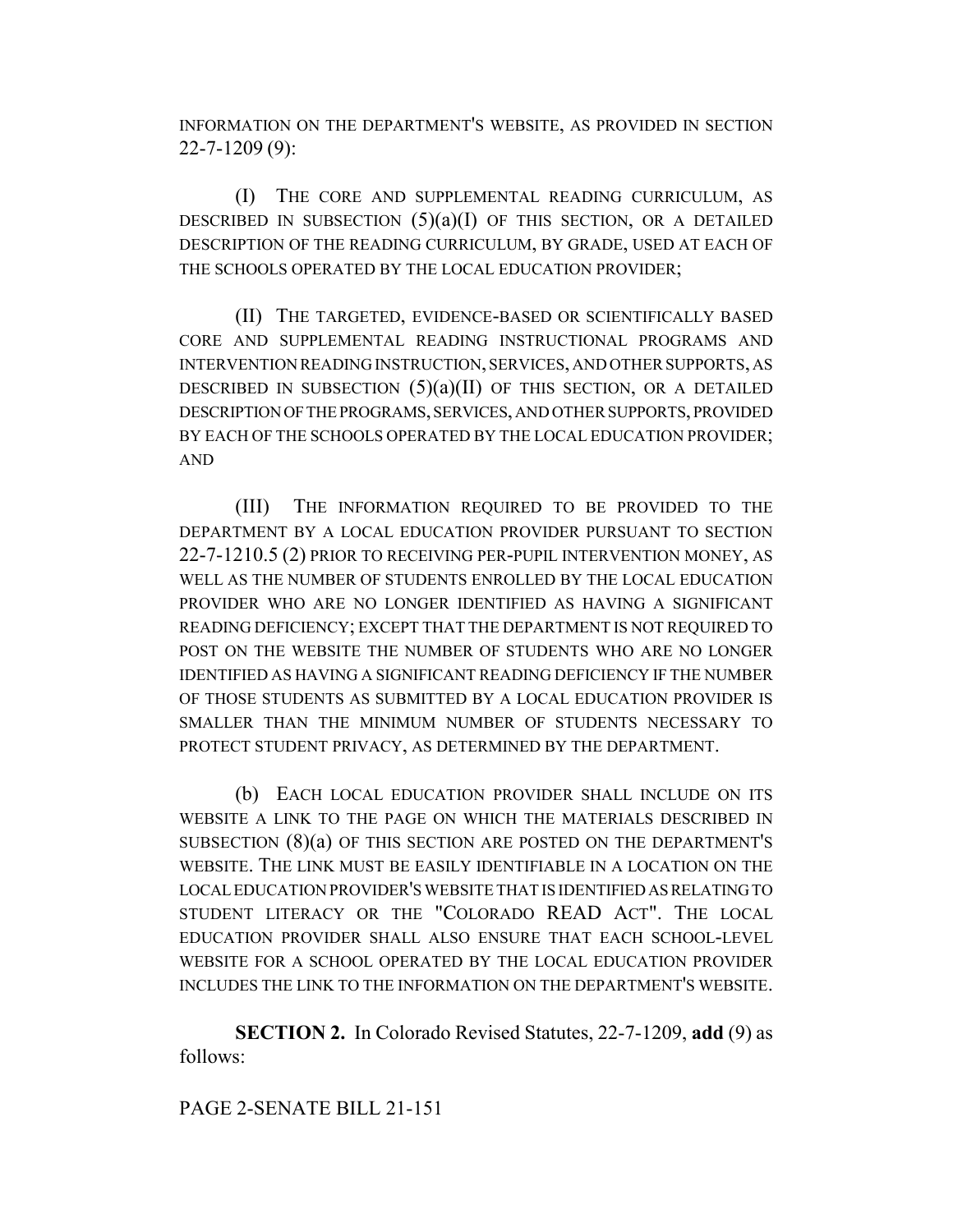INFORMATION ON THE DEPARTMENT'S WEBSITE, AS PROVIDED IN SECTION 22-7-1209 (9):

(I) THE CORE AND SUPPLEMENTAL READING CURRICULUM, AS DESCRIBED IN SUBSECTION  $(5)(a)(I)$  OF THIS SECTION, OR A DETAILED DESCRIPTION OF THE READING CURRICULUM, BY GRADE, USED AT EACH OF THE SCHOOLS OPERATED BY THE LOCAL EDUCATION PROVIDER;

(II) THE TARGETED, EVIDENCE-BASED OR SCIENTIFICALLY BASED CORE AND SUPPLEMENTAL READING INSTRUCTIONAL PROGRAMS AND INTERVENTION READING INSTRUCTION, SERVICES, AND OTHER SUPPORTS, AS DESCRIBED IN SUBSECTION  $(5)(a)(II)$  OF THIS SECTION, OR A DETAILED DESCRIPTION OF THE PROGRAMS, SERVICES, AND OTHER SUPPORTS, PROVIDED BY EACH OF THE SCHOOLS OPERATED BY THE LOCAL EDUCATION PROVIDER; AND

(III) THE INFORMATION REQUIRED TO BE PROVIDED TO THE DEPARTMENT BY A LOCAL EDUCATION PROVIDER PURSUANT TO SECTION 22-7-1210.5 (2) PRIOR TO RECEIVING PER-PUPIL INTERVENTION MONEY, AS WELL AS THE NUMBER OF STUDENTS ENROLLED BY THE LOCAL EDUCATION PROVIDER WHO ARE NO LONGER IDENTIFIED AS HAVING A SIGNIFICANT READING DEFICIENCY; EXCEPT THAT THE DEPARTMENT IS NOT REQUIRED TO POST ON THE WEBSITE THE NUMBER OF STUDENTS WHO ARE NO LONGER IDENTIFIED AS HAVING A SIGNIFICANT READING DEFICIENCY IF THE NUMBER OF THOSE STUDENTS AS SUBMITTED BY A LOCAL EDUCATION PROVIDER IS SMALLER THAN THE MINIMUM NUMBER OF STUDENTS NECESSARY TO PROTECT STUDENT PRIVACY, AS DETERMINED BY THE DEPARTMENT.

(b) EACH LOCAL EDUCATION PROVIDER SHALL INCLUDE ON ITS WEBSITE A LINK TO THE PAGE ON WHICH THE MATERIALS DESCRIBED IN SUBSECTION (8)(a) OF THIS SECTION ARE POSTED ON THE DEPARTMENT'S WEBSITE. THE LINK MUST BE EASILY IDENTIFIABLE IN A LOCATION ON THE LOCAL EDUCATION PROVIDER'S WEBSITE THAT IS IDENTIFIED AS RELATING TO STUDENT LITERACY OR THE "COLORADO READ ACT". THE LOCAL EDUCATION PROVIDER SHALL ALSO ENSURE THAT EACH SCHOOL-LEVEL WEBSITE FOR A SCHOOL OPERATED BY THE LOCAL EDUCATION PROVIDER INCLUDES THE LINK TO THE INFORMATION ON THE DEPARTMENT'S WEBSITE.

**SECTION 2.** In Colorado Revised Statutes, 22-7-1209, **add** (9) as follows:

## PAGE 2-SENATE BILL 21-151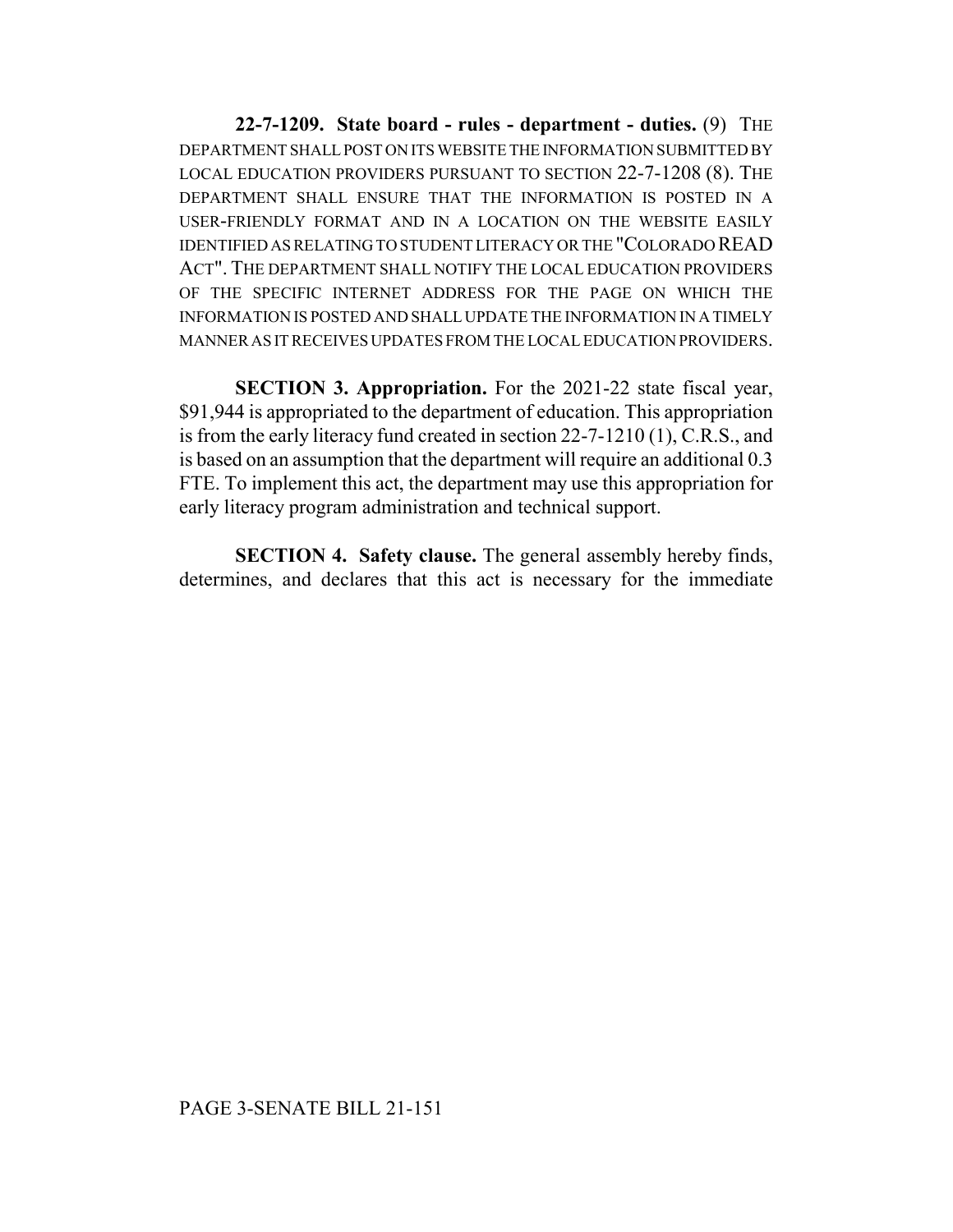**22-7-1209. State board - rules - department - duties.** (9) THE DEPARTMENT SHALL POST ON ITS WEBSITE THE INFORMATION SUBMITTED BY LOCAL EDUCATION PROVIDERS PURSUANT TO SECTION 22-7-1208 (8). THE DEPARTMENT SHALL ENSURE THAT THE INFORMATION IS POSTED IN A USER-FRIENDLY FORMAT AND IN A LOCATION ON THE WEBSITE EASILY IDENTIFIED AS RELATING TO STUDENT LITERACY OR THE "COLORADO READ ACT". THE DEPARTMENT SHALL NOTIFY THE LOCAL EDUCATION PROVIDERS OF THE SPECIFIC INTERNET ADDRESS FOR THE PAGE ON WHICH THE INFORMATION IS POSTED AND SHALL UPDATE THE INFORMATION IN A TIMELY MANNER AS IT RECEIVES UPDATES FROM THE LOCAL EDUCATION PROVIDERS.

**SECTION 3. Appropriation.** For the 2021-22 state fiscal year, \$91,944 is appropriated to the department of education. This appropriation is from the early literacy fund created in section 22-7-1210 (1), C.R.S., and is based on an assumption that the department will require an additional 0.3 FTE. To implement this act, the department may use this appropriation for early literacy program administration and technical support.

**SECTION 4. Safety clause.** The general assembly hereby finds, determines, and declares that this act is necessary for the immediate